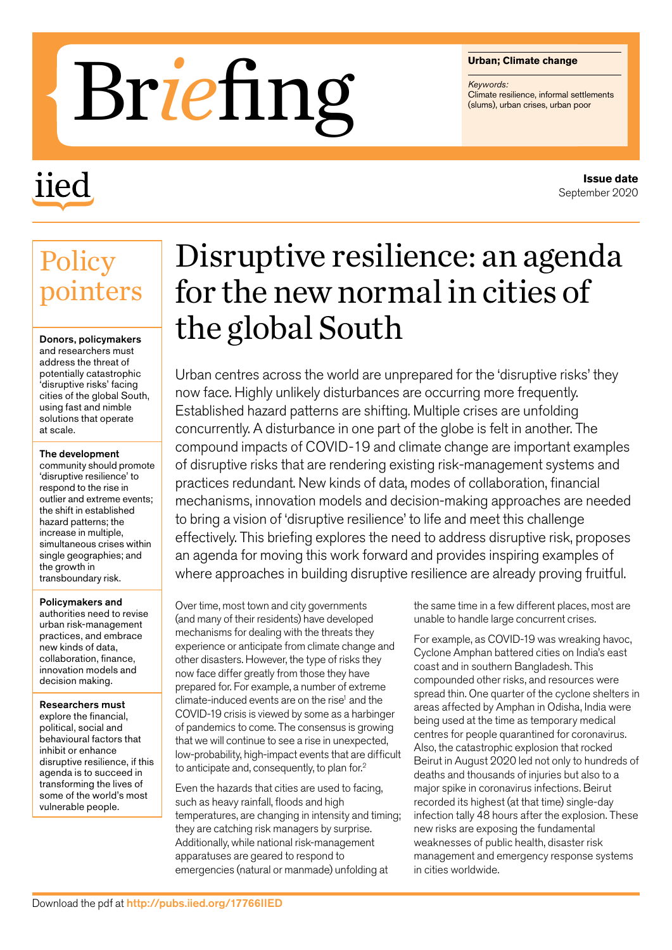#### **Urban; Climate change**

*Keywords:*

# **CLIPS**<br>Brigwords:<br>Climate resilience, informal settlements, urban crises, urban poor

## iied

#### **Issue date** September 2020

### **Policy** pointers

Donors, policymakers and researchers must address the threat of potentially catastrophic 'disruptive risks' facing cities of the global South, using fast and nimble solutions that operate at scale.

#### The development

community should promote 'disruptive resilience' to respond to the rise in outlier and extreme events; the shift in established hazard patterns; the increase in multiple, simultaneous crises within single geographies; and the growth in transboundary risk.

#### Policymakers and

authorities need to revise urban risk-management practices, and embrace new kinds of data, collaboration, finance, innovation models and decision making.

#### Researchers must

explore the financial, political, social and behavioural factors that inhibit or enhance disruptive resilience, if this agenda is to succeed in transforming the lives of some of the world's most vulnerable people.

## Disruptive resilience: an agenda for the new normal in cities of the global South

Urban centres across the world are unprepared for the 'disruptive risks' they now face. Highly unlikely disturbances are occurring more frequently. Established hazard patterns are shifting. Multiple crises are unfolding concurrently. A disturbance in one part of the globe is felt in another. The compound impacts of COVID-19 and climate change are important examples of disruptive risks that are rendering existing risk-management systems and practices redundant. New kinds of data, modes of collaboration, financial mechanisms, innovation models and decision-making approaches are needed to bring a vision of 'disruptive resilience' to life and meet this challenge effectively. This briefing explores the need to address disruptive risk, proposes an agenda for moving this work forward and provides inspiring examples of where approaches in building disruptive resilience are already proving fruitful.

Over time, most town and city governments (and many of their residents) have developed mechanisms for dealing with the threats they experience or anticipate from climate change and other disasters. However, the type of risks they now face differ greatly from those they have prepared for. For example, a number of extreme climate-induced events are on the rise<sup>1</sup> and the COVID-19 crisis is viewed by some as a harbinger of pandemics to come. The consensus is growing that we will continue to see a rise in unexpected, low-probability, high-impact events that are difficult to anticipate and, consequently, to plan for.2

Even the hazards that cities are used to facing, such as heavy rainfall, floods and high temperatures, are changing in intensity and timing; they are catching risk managers by surprise. Additionally, while national risk-management apparatuses are geared to respond to emergencies (natural or manmade) unfolding at

the same time in a few different places, most are unable to handle large concurrent crises.

For example, as COVID-19 was wreaking havoc, Cyclone Amphan battered cities on India's east coast and in southern Bangladesh. This compounded other risks, and resources were spread thin. One quarter of the cyclone shelters in areas affected by Amphan in Odisha, India were being used at the time as temporary medical centres for people quarantined for coronavirus. Also, the catastrophic explosion that rocked Beirut in August 2020 led not only to hundreds of deaths and thousands of injuries but also to a major spike in coronavirus infections. Beirut recorded its highest (at that time) single-day infection tally 48 hours after the explosion. These new risks are exposing the fundamental weaknesses of public health, disaster risk management and emergency response systems in cities worldwide.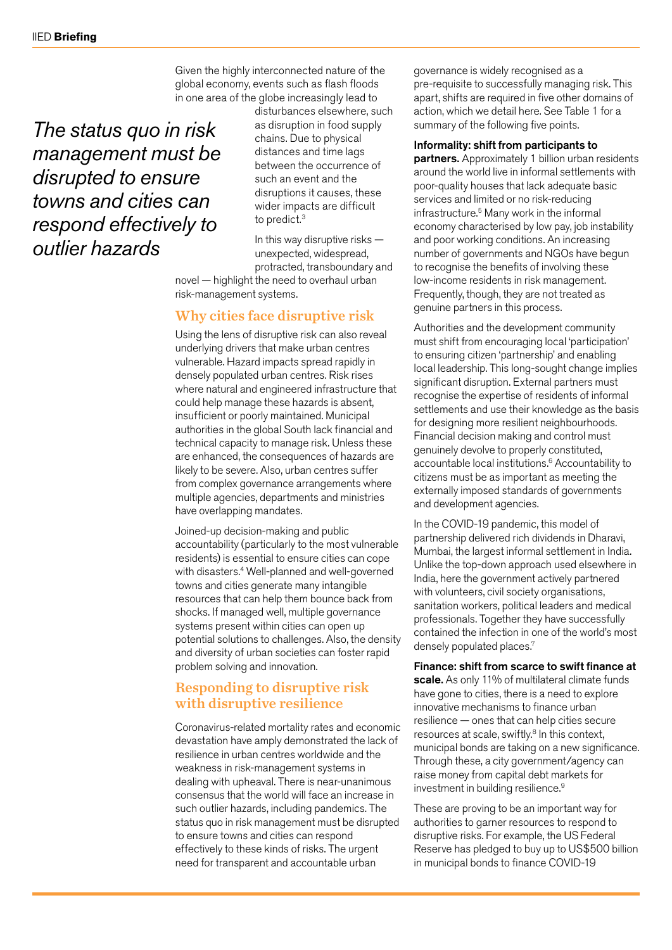Given the highly interconnected nature of the global economy, events such as flash floods in one area of the globe increasingly lead to

*The status quo in risk management must be disrupted to ensure towns and cities can respond effectively to outlier hazards*

disturbances elsewhere, such as disruption in food supply chains. Due to physical distances and time lags between the occurrence of such an event and the disruptions it causes, these wider impacts are difficult to predict.<sup>3</sup>

In this way disruptive risks unexpected, widespread, protracted, transboundary and

novel — highlight the need to overhaul urban risk-management systems.

#### Why cities face disruptive risk

Using the lens of disruptive risk can also reveal underlying drivers that make urban centres vulnerable. Hazard impacts spread rapidly in densely populated urban centres. Risk rises where natural and engineered infrastructure that could help manage these hazards is absent, insufficient or poorly maintained. Municipal authorities in the global South lack financial and technical capacity to manage risk. Unless these are enhanced, the consequences of hazards are likely to be severe. Also, urban centres suffer from complex governance arrangements where multiple agencies, departments and ministries have overlapping mandates.

Joined-up decision-making and public accountability (particularly to the most vulnerable residents) is essential to ensure cities can cope with disasters.<sup>4</sup> Well-planned and well-governed towns and cities generate many intangible resources that can help them bounce back from shocks. If managed well, multiple governance systems present within cities can open up potential solutions to challenges. Also, the density and diversity of urban societies can foster rapid problem solving and innovation.

#### Responding to disruptive risk with disruptive resilience

Coronavirus-related mortality rates and economic devastation have amply demonstrated the lack of resilience in urban centres worldwide and the weakness in risk-management systems in dealing with upheaval. There is near-unanimous consensus that the world will face an increase in such outlier hazards, including pandemics. The status quo in risk management must be disrupted to ensure towns and cities can respond effectively to these kinds of risks. The urgent need for transparent and accountable urban

governance is widely recognised as a pre-requisite to successfully managing risk. This apart, shifts are required in five other domains of action, which we detail here. See Table 1 for a summary of the following five points.

#### Informality: shift from participants to

partners. Approximately 1 billion urban residents around the world live in informal settlements with poor-quality houses that lack adequate basic services and limited or no risk-reducing infrastructure.5 Many work in the informal economy characterised by low pay, job instability and poor working conditions. An increasing number of governments and NGOs have begun to recognise the benefits of involving these low-income residents in risk management. Frequently, though, they are not treated as genuine partners in this process.

Authorities and the development community must shift from encouraging local 'participation' to ensuring citizen 'partnership' and enabling local leadership. This long-sought change implies significant disruption. External partners must recognise the expertise of residents of informal settlements and use their knowledge as the basis for designing more resilient neighbourhoods. Financial decision making and control must genuinely devolve to properly constituted, accountable local institutions.<sup>6</sup> Accountability to citizens must be as important as meeting the externally imposed standards of governments and development agencies.

In the COVID-19 pandemic, this model of partnership delivered rich dividends in Dharavi, Mumbai, the largest informal settlement in India. Unlike the top-down approach used elsewhere in India, here the government actively partnered with volunteers, civil society organisations, sanitation workers, political leaders and medical professionals. Together they have successfully contained the infection in one of the world's most densely populated places.<sup>7</sup>

#### Finance: shift from scarce to swift finance at

scale. As only 11% of multilateral climate funds have gone to cities, there is a need to explore innovative mechanisms to finance urban resilience — ones that can help cities secure resources at scale, swiftly.<sup>8</sup> In this context, municipal bonds are taking on a new significance. Through these, a city government/agency can raise money from capital debt markets for investment in building resilience.<sup>9</sup>

These are proving to be an important way for authorities to garner resources to respond to disruptive risks. For example, the US Federal Reserve has pledged to buy up to US\$500 billion in municipal bonds to finance COVID-19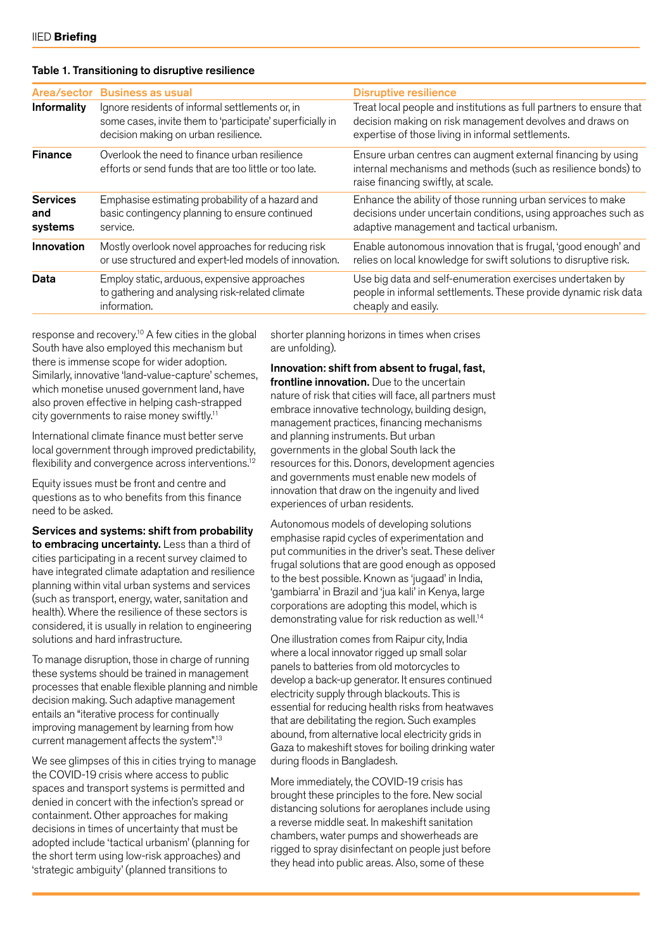#### Table 1. Transitioning to disruptive resilience

| Area/sector                       | <b>Business as usual</b>                                                                                                                             | <b>Disruptive resilience</b>                                                                                                                                                          |
|-----------------------------------|------------------------------------------------------------------------------------------------------------------------------------------------------|---------------------------------------------------------------------------------------------------------------------------------------------------------------------------------------|
| Informality                       | Ignore residents of informal settlements or, in<br>some cases, invite them to 'participate' superficially in<br>decision making on urban resilience. | Treat local people and institutions as full partners to ensure that<br>decision making on risk management devolves and draws on<br>expertise of those living in informal settlements. |
| <b>Finance</b>                    | Overlook the need to finance urban resilience<br>efforts or send funds that are too little or too late.                                              | Ensure urban centres can augment external financing by using<br>internal mechanisms and methods (such as resilience bonds) to<br>raise financing swiftly, at scale.                   |
| <b>Services</b><br>and<br>systems | Emphasise estimating probability of a hazard and<br>basic contingency planning to ensure continued<br>service.                                       | Enhance the ability of those running urban services to make<br>decisions under uncertain conditions, using approaches such as<br>adaptive management and tactical urbanism.           |
| Innovation                        | Mostly overlook novel approaches for reducing risk<br>or use structured and expert-led models of innovation.                                         | Enable autonomous innovation that is frugal, 'good enough' and<br>relies on local knowledge for swift solutions to disruptive risk.                                                   |
| Data                              | Employ static, arduous, expensive approaches<br>to gathering and analysing risk-related climate<br>information.                                      | Use big data and self-enumeration exercises undertaken by<br>people in informal settlements. These provide dynamic risk data<br>cheaply and easily.                                   |

response and recovery.<sup>10</sup> A few cities in the global South have also employed this mechanism but there is immense scope for wider adoption. Similarly, innovative 'land-value-capture' schemes, which monetise unused government land, have also proven effective in helping cash-strapped city governments to raise money swiftly.11

International climate finance must better serve local government through improved predictability, flexibility and convergence across interventions.<sup>12</sup>

Equity issues must be front and centre and questions as to who benefits from this finance need to be asked.

Services and systems: shift from probability to embracing uncertainty. Less than a third of cities participating in a recent survey claimed to have integrated climate adaptation and resilience planning within vital urban systems and services (such as transport, energy, water, sanitation and health). Where the resilience of these sectors is considered, it is usually in relation to engineering solutions and hard infrastructure.

To manage disruption, those in charge of running these systems should be trained in management processes that enable flexible planning and nimble decision making. Such adaptive management entails an "iterative process for continually improving management by learning from how current management affects the system".13

We see glimpses of this in cities trying to manage the COVID-19 crisis where access to public spaces and transport systems is permitted and denied in concert with the infection's spread or containment. Other approaches for making decisions in times of uncertainty that must be adopted include 'tactical urbanism' (planning for the short term using low-risk approaches) and 'strategic ambiguity' (planned transitions to

shorter planning horizons in times when crises are unfolding).

Innovation: shift from absent to frugal, fast, frontline innovation. Due to the uncertain nature of risk that cities will face, all partners must embrace innovative technology, building design, management practices, financing mechanisms and planning instruments. But urban governments in the global South lack the resources for this. Donors, development agencies and governments must enable new models of innovation that draw on the ingenuity and lived experiences of urban residents.

Autonomous models of developing solutions emphasise rapid cycles of experimentation and put communities in the driver's seat. These deliver frugal solutions that are good enough as opposed to the best possible. Known as 'jugaad' in India, 'gambiarra' in Brazil and 'jua kali' in Kenya, large corporations are adopting this model, which is demonstrating value for risk reduction as well.14

One illustration comes from Raipur city, India where a local innovator rigged up small solar panels to batteries from old motorcycles to develop a back-up generator. It ensures continued electricity supply through blackouts. This is essential for reducing health risks from heatwaves that are debilitating the region. Such examples abound, from alternative local electricity grids in Gaza to makeshift stoves for boiling drinking water during floods in Bangladesh.

More immediately, the COVID-19 crisis has brought these principles to the fore. New social distancing solutions for aeroplanes include using a reverse middle seat. In makeshift sanitation chambers, water pumps and showerheads are rigged to spray disinfectant on people just before they head into public areas. Also, some of these